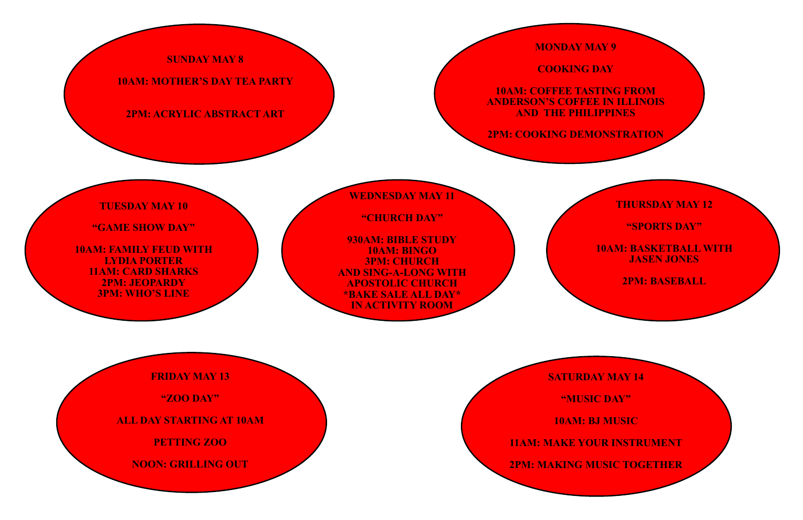# **SUNDAY MAY 8**

## **10AM: MOTHER'S DAY TEA PARTY**

### **2PM: ACRYLIC ABSTRACT ART**

**MONDAY MAY 9**

**COOKING DAY**

**10AM: COFFEE TASTING FROM ANDERSON'S COFFEE IN ILLINOIS AND THE PHILIPPINES**

**2PM: COOKING DEMONSTRATION**

## **TUESDAY MAY 10**

**"GAME SHOW DAY"**

**10AM: FAMILY FEUD WITH LYDIA PORTER 11AM: CARD SHARKS 2PM: JEOPARDY 3PM: WHO'S LINE**

**WEDNESDAY MAY 11**

**"CHURCH DAY"**

**930AM: BIBLE STUDY 10AM: BINGO 3PM: CHURCH AND SING-A-LONG WITH APOSTOLIC CHURCH \*BAKE SALE ALL DAY\* IN ACTIVITY ROOM**

## **THURSDAY MAY 12**

#### **"SPORTS DAY"**

**10AM: BASKETBALL WITH JASEN JONES**

**2PM: BASEBALL**

**FRIDAY MAY 13**

**"ZOO DAY"**

**ALL DAY STARTING AT 10AM**

**PETTING ZOO**

**NOON: GRILLING OUT**

**SATURDAY MAY 14**

**"MUSIC DAY"**

**10AM: BJ MUSIC**

**11AM: MAKE YOUR INSTRUMENT**

**2PM: MAKING MUSIC TOGETHER**